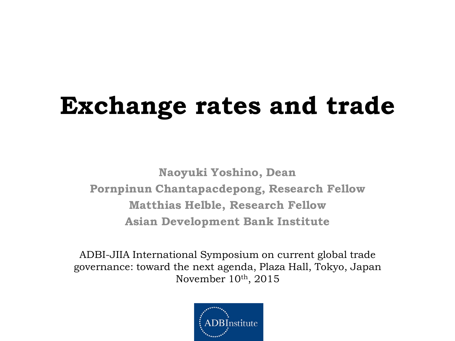# **Exchange rates and trade**

**Naoyuki Yoshino, Dean Pornpinun Chantapacdepong, Research Fellow Matthias Helble, Research Fellow Asian Development Bank Institute**

ADBI-JIIA International Symposium on current global trade governance: toward the next agenda, Plaza Hall, Tokyo, Japan November  $10<sup>th</sup>$ , 2015

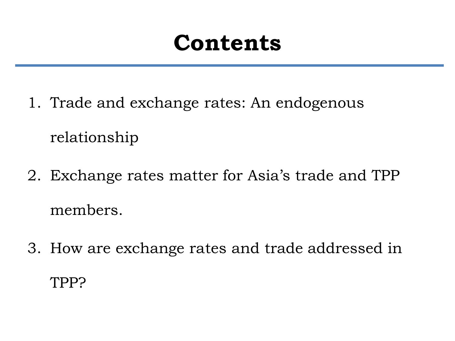# **Contents**

- 1. Trade and exchange rates: An endogenous relationship
- 2. Exchange rates matter for Asia's trade and TPP members.
- 3. How are exchange rates and trade addressed in TPP?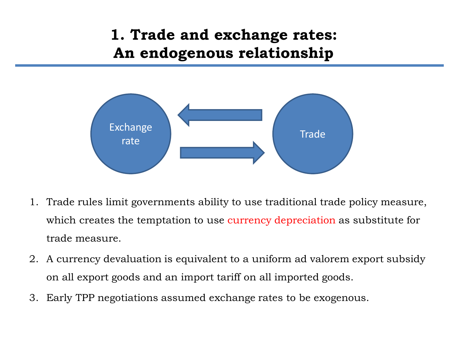## **1. Trade and exchange rates: An endogenous relationship**



- 1. Trade rules limit governments ability to use traditional trade policy measure, which creates the temptation to use currency depreciation as substitute for trade measure.
- 2. A currency devaluation is equivalent to a uniform ad valorem export subsidy on all export goods and an import tariff on all imported goods.
- 3. Early TPP negotiations assumed exchange rates to be exogenous.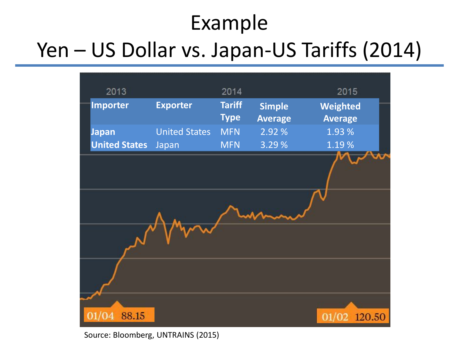# Example

# Yen – US Dollar vs. Japan-US Tariffs (2014)



Source: Bloomberg, UNTRAINS (2015)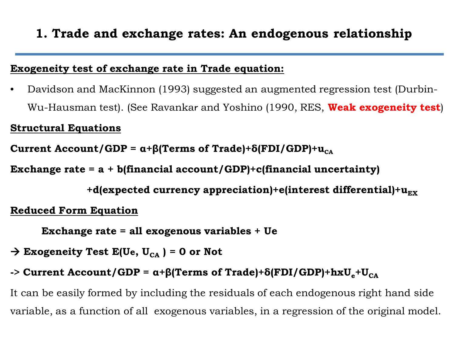## **1. Trade and exchange rates: An endogenous relationship**

### **Exogeneity test of exchange rate in Trade equation:**

• Davidson and MacKinnon (1993) suggested an augmented regression test (Durbin-Wu-Hausman test). (See Ravankar and Yoshino (1990, RES, **Weak exogeneity test**)

#### **Structural Equations**

**Current Account/GDP =**  $\alpha + \beta$ **(Terms of Trade)+δ(FDI/GDP)+** $\mu_{CA}$ 

**Exchange rate = a + b(financial account/GDP)+c(financial uncertainty)**

 $+$ d(expected currency appreciation) $+$ e(interest differential) $+$ u<sub>EX</sub>

#### **Reduced Form Equation**

 **Exchange rate = all exogenous variables + Ue**

 $\rightarrow$  Exogeneity Test E(Ue, U<sub>CA</sub>) = 0 or Not

### **-> Current Account/GDP** =  $\alpha$ +β(Terms of Trade)+δ(FDI/GDP)+ $\hbar xU_e$ + $U_{CA}$

It can be easily formed by including the residuals of each endogenous right hand side variable, as a function of all exogenous variables, in a regression of the original model.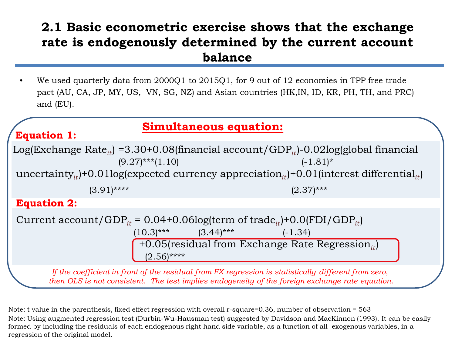### **2.1 Basic econometric exercise shows that the exchange rate is endogenously determined by the current account balance**

• We used quarterly data from 2000Q1 to 2015Q1, for 9 out of 12 economies in TPP free trade pact (AU, CA, JP, MY, US, VN, SG, NZ) and Asian countries (HK,IN, ID, KR, PH, TH, and PRC) and (EU).

### **Simultaneous equation:**

Log(Exchange Rate<sub>it</sub>) =3.30+0.08(financial account/GDP<sub>it</sub>)-0.02log(global financial (9.27)\*\*\*(1.10) uncertainty<sub>it</sub> $+0.01$ log(expected currency appreciation<sub>it</sub>) $+0.01$ (interest differential<sub>it</sub>)  $(9.27)$ \*\*\* $(1.10)$  $(3.91)$ \*\*\*\* (2.37)\*\*\* **Equation 1: Equation 2:**

 $(10.3)$ \*\*\*  $(3.44)$ \*\*\*  $(-1.34)$  $(2.56)$ \*\*\*\* Current account/GDP<sub>it</sub> =  $0.04+0.06$ log(term of trade<sub>it</sub>)+0.0(FDI/GDP<sub>it</sub>) +0.05(residual from Exchange Rate Regression<sub>it</sub>)

*If the coefficient in front of the residual from FX regression is statistically different from zero, then OLS is not consistent. The test implies endogeneity of the foreign exchange rate equation.*

Note: Using augmented regression test (Durbin-Wu-Hausman test) suggested by Davidson and MacKinnon (1993). It can be easily formed by including the residuals of each endogenous right hand side variable, as a function of all exogenous variables, in a regression of the original model. Note: t value in the parenthesis, fixed effect regression with overall r-square=0.36, number of observation = 563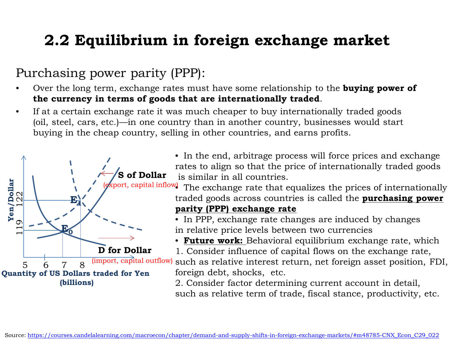## **2.2 Equilibrium in foreign exchange market**

## Purchasing power parity (PPP):

- Over the long term, exchange rates must have some relationship to the **buying power of the currency in terms of goods that are internationally traded**.
- If at a certain exchange rate it was much cheaper to buy internationally traded goods (oil, steel, cars, etc.)—in one country than in another country, businesses would start buying in the cheap country, selling in other countries, and earns profits.



• In the end, arbitrage process will force prices and exchange rates to align so that the price of internationally traded goods is similar in all countries.

(*export, capital inflow*) The exchange rate that equalizes the prices of internationally traded goods across countries is called the **purchasing power** 

#### **parity (PPP) exchange rate**

• In PPP, exchange rate changes are induced by changes in relative price levels between two currencies

• **Future work:** Behavioral equilibrium exchange rate, which 1. Consider influence of capital flows on the exchange rate,

such as relative interest return, net foreign asset position, FDI, foreign debt, shocks, etc.

2. Consider factor determining current account in detail, such as relative term of trade, fiscal stance, productivity, etc.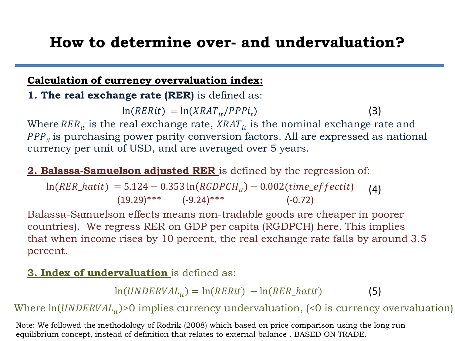## **How to determine over- and undervaluation?**

### **Calculation of currency overvaluation index:**

**1. The real exchange rate (RER)** is defined as:

 $ln(RERit) = ln(XRAT_{it}/PPPi_t)$ (3)

Where  $RER_{it}$  is the real exchange rate,  $XRAT_{it}$  is the nominal exchange rate and  $PPP_{it}$  is purchasing power parity conversion factors. All are expressed as national currency per unit of USD, and are averaged over 5 years.

### **2. Balassa-Samuelson adjusted RER** is defined by the regression of:

 $ln(RER\_hatit) = 5.124 - 0.353 ln(RGDPCH_{it}) - 0.002$ (time\_effectit)  $(19.29)$ \*\*\*  $(-9.24)$ \*\*\* (-0.72) (4)

Balassa-Samuelson effects means non-tradable goods are cheaper in poorer countries). We regress RER on GDP per capita (RGDPCH) here. This implies that when income rises by 10 percent, the real exchange rate falls by around 3.5 percent.

### **3. Index of undervaluation** is defined as:

 $ln(UNDERVAL_{it}) = ln(RERit) - ln(RER_hatit)$ (5)

Where  $ln(UNDERVAL_{it})>0$  implies currency undervaluation, (<0 is currency overvaluation)

Note: We followed the methodology of Rodrik (2008) which based on price comparison using the long run equilibrium concept, instead of definition that relates to external balance . BASED ON TRADE.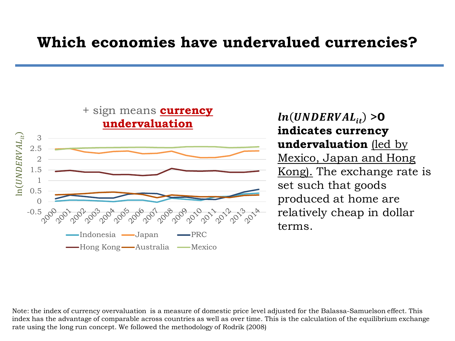## **Which economies have undervalued currencies?**



 $ln(UNDERVAL_{it}) > 0$ **indicates currency undervaluation** (led by Mexico, Japan and Hong Kong). The exchange rate is set such that goods produced at home are relatively cheap in dollar terms.

Note: the index of currency overvaluation is a measure of domestic price level adjusted for the Balassa-Samuelson effect. This index has the advantage of comparable across countries as well as over time. This is the calculation of the equilibrium exchange rate using the long run concept. We followed the methodology of Rodrik (2008)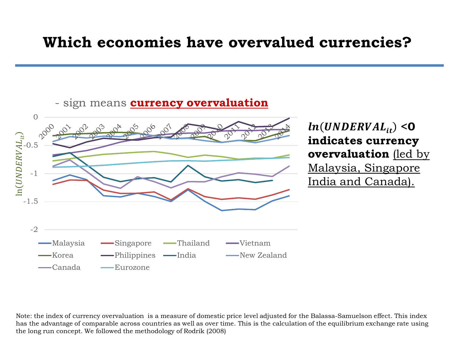## **Which economies have overvalued currencies?**



 $ln(UNDERVAL_{it})$  <0 **indicates currency overvaluation** (led by Malaysia, Singapore India and Canada).

Note: the index of currency overvaluation is a measure of domestic price level adjusted for the Balassa-Samuelson effect. This index has the advantage of comparable across countries as well as over time. This is the calculation of the equilibrium exchange rate using the long run concept. We followed the methodology of Rodrik (2008)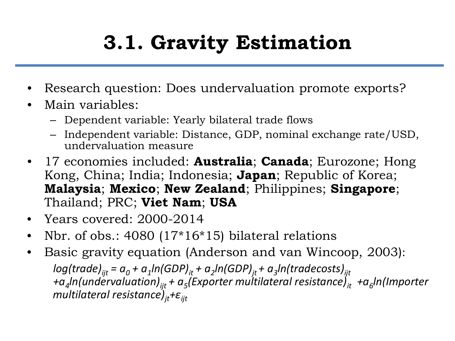# **3.1. Gravity Estimation**

- Research question: Does undervaluation promote exports?
- Main variables:
	- Dependent variable: Yearly bilateral trade flows
	- Independent variable: Distance, GDP, nominal exchange rate/USD, undervaluation measure
- 17 economies included: **Australia**; **Canada**; Eurozone; Hong Kong, China; India; Indonesia; **Japan**; Republic of Korea; **Malaysia**; **Mexico**; **New Zealand**; Philippines; **Singapore**; Thailand; PRC; **Viet Nam**; **USA**
- Years covered: 2000-2014
- Nbr. of obs.: 4080 (17\*16\*15) bilateral relations
- Basic gravity equation (Anderson and van Wincoop, 2003):  $log(trainde)_{ii} = a_0 + a_1 ln(GDP)_{it} + a_2 ln(GDP)_{it} + a_3 ln(traindecosts)_{ii}$ *+a<sub>4</sub>ln(undervaluation)<sub>ijt</sub>* + a<sub>5</sub>(Exporter multilateral resistance)<sub>it</sub> +a<sub>6</sub>ln(Importer *multilateral resistance)jt+εijt*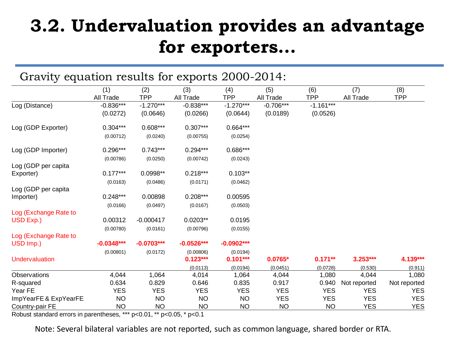## **3.2. Undervaluation provides an advantage for exporters...**

| Gravity equation results for exports 2000-2014:                                                            |                                                                                |                                                                             |                                                                                            |                                                                                          |                                         |                                         |                                                |                          |
|------------------------------------------------------------------------------------------------------------|--------------------------------------------------------------------------------|-----------------------------------------------------------------------------|--------------------------------------------------------------------------------------------|------------------------------------------------------------------------------------------|-----------------------------------------|-----------------------------------------|------------------------------------------------|--------------------------|
|                                                                                                            | (1)<br>All Trade                                                               | (2)<br><b>TPP</b>                                                           | (3)<br>All Trade                                                                           | (4)<br><b>TPP</b>                                                                        | (5)<br>All Trade                        | (6)<br><b>TPP</b>                       | (7)<br>All Trade                               | (8)<br><b>TPP</b>        |
| Log (Distance)                                                                                             | $-0.836***$<br>(0.0272)                                                        | $-1.270***$<br>(0.0646)                                                     | $-0.838***$<br>(0.0266)                                                                    | $-1.270***$<br>(0.0644)                                                                  | $-0.706***$<br>(0.0189)                 | $-1.161***$<br>(0.0526)                 |                                                |                          |
| Log (GDP Exporter)                                                                                         | $0.304***$                                                                     | $0.608***$                                                                  | $0.307***$                                                                                 | $0.664***$                                                                               |                                         |                                         |                                                |                          |
|                                                                                                            | (0.00712)                                                                      | (0.0240)                                                                    | (0.00755)                                                                                  | (0.0254)                                                                                 |                                         |                                         |                                                |                          |
| Log (GDP Importer)                                                                                         | $0.296***$                                                                     | $0.743***$                                                                  | $0.294***$                                                                                 | 0.686***                                                                                 |                                         |                                         |                                                |                          |
| Log (GDP per capita                                                                                        | (0.00786)                                                                      | (0.0250)                                                                    | (0.00742)                                                                                  | (0.0243)                                                                                 |                                         |                                         |                                                |                          |
|                                                                                                            |                                                                                |                                                                             |                                                                                            |                                                                                          |                                         |                                         |                                                |                          |
| Log (GDP per capita<br>Importer)                                                                           | $0.248***$                                                                     | 0.00898                                                                     | $0.208***$                                                                                 | 0.00595                                                                                  |                                         |                                         |                                                |                          |
|                                                                                                            | 0.00312                                                                        | $-0.000417$                                                                 | $0.0203**$                                                                                 | 0.0195                                                                                   |                                         |                                         |                                                |                          |
| Log (Exchange Rate to<br>USD Imp.)                                                                         | $-0.0348***$                                                                   | $-0.0703***$                                                                | $-0.0526***$                                                                               | $-0.0902***$                                                                             |                                         |                                         |                                                |                          |
| Undervaluation                                                                                             | (0.00801)                                                                      | (0.0172)                                                                    | (0.00806)<br>$0.123***$                                                                    | (0.0194)<br>$0.101***$                                                                   | $0.0765*$                               | $0.171**$                               | $3.253***$                                     | 4.139***                 |
|                                                                                                            |                                                                                |                                                                             |                                                                                            |                                                                                          |                                         |                                         |                                                | (0.911)<br>1,080         |
|                                                                                                            |                                                                                |                                                                             |                                                                                            |                                                                                          |                                         |                                         |                                                | Not reported             |
|                                                                                                            | <b>YES</b>                                                                     | <b>YES</b>                                                                  | <b>YES</b>                                                                                 | <b>YES</b>                                                                               | <b>YES</b>                              | <b>YES</b>                              | <b>YES</b>                                     | <b>YES</b>               |
| ImpYearFE & ExpYearFE                                                                                      | <b>NO</b>                                                                      | <b>NO</b>                                                                   | <b>NO</b>                                                                                  | <b>NO</b>                                                                                | <b>YES</b>                              | <b>YES</b>                              | <b>YES</b>                                     | <b>YES</b><br><b>YES</b> |
| Exporter)<br>Log (Exchange Rate to<br>USD Exp.)<br>Observations<br>R-squared<br>Year FE<br>Country-pair FE | $0.177***$<br>(0.0163)<br>(0.0166)<br>(0.00780)<br>4,044<br>0.634<br><b>NO</b> | 0.0998**<br>(0.0486)<br>(0.0497)<br>(0.0161)<br>1,064<br>0.829<br><b>NO</b> | $0.218***$<br>(0.0171)<br>(0.0167)<br>(0.00796)<br>(0.0113)<br>4,014<br>0.646<br><b>NO</b> | $0.103**$<br>(0.0462)<br>(0.0503)<br>(0.0155)<br>(0.0194)<br>1,064<br>0.835<br><b>NO</b> | (0.0451)<br>4,044<br>0.917<br><b>NO</b> | (0.0728)<br>1,080<br>0.940<br><b>NO</b> | (0.530)<br>4,044<br>Not reported<br><b>YES</b> |                          |

Robust standard errors in parentheses, \*\*\* p<0.01, \*\* p<0.05, \* p<0.1

Note: Several bilateral variables are not reported, such as common language, shared border or RTA.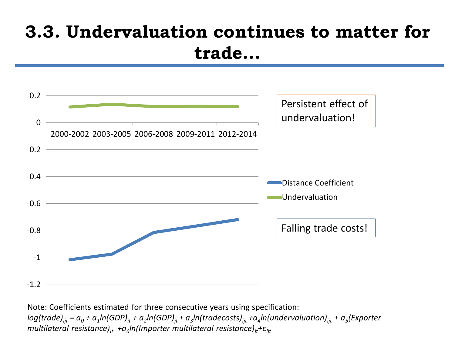## **3.3. Undervaluation continues to matter for trade...**



Note: Coefficients estimated for three consecutive years using specification:  $log(trainde)_{ii} = a_0 + a_1ln(GDP)_{it} + a_2ln(GDP)_{it} + a_3ln(traindecosts)_{ii} + a_4ln(undervaluation)_{ii} + a_5(Exporter)$ *multilateral resistance)<sub>it</sub> +a<sub>6</sub>ln(Importer multilateral resistance)<sub>it</sub>+* $\varepsilon$ *<sub>ijt</sub>*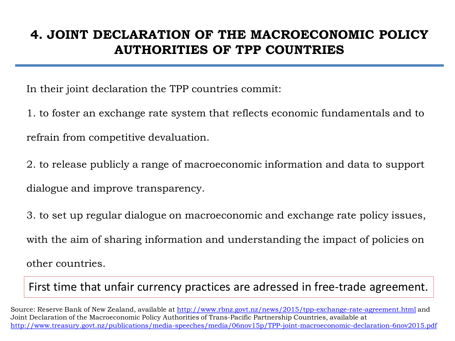## **4. JOINT DECLARATION OF THE MACROECONOMIC POLICY AUTHORITIES OF TPP COUNTRIES**

In their joint declaration the TPP countries commit:

1. to foster an exchange rate system that reflects economic fundamentals and to refrain from competitive devaluation.

2. to release publicly a range of macroeconomic information and data to support dialogue and improve transparency.

3. to set up regular dialogue on macroeconomic and exchange rate policy issues, with the aim of sharing information and understanding the impact of policies on other countries.

First time that unfair currency practices are adressed in free-trade agreement.

Source: Reserve Bank of New Zealand, available at<http://www.rbnz.govt.nz/news/2015/tpp-exchange-rate-agreement.html> and Joint Declaration of the Macroeconomic Policy Authorities of Trans-Pacific Partnership Countries, available at <http://www.treasury.govt.nz/publications/media-speeches/media/06nov15p/TPP-joint-macroeconomic-declaration-6nov2015.pdf>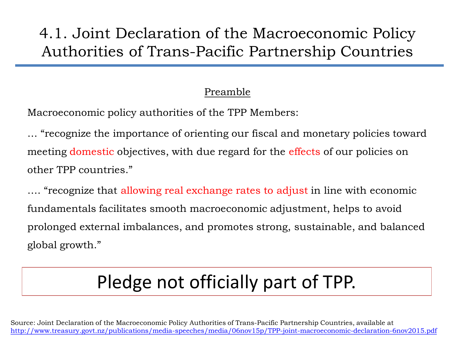## 4.1. Joint Declaration of the Macroeconomic Policy Authorities of Trans-Pacific Partnership Countries

### Preamble

Macroeconomic policy authorities of the TPP Members:

… "recognize the importance of orienting our fiscal and monetary policies toward meeting domestic objectives, with due regard for the effects of our policies on other TPP countries."

…. "recognize that allowing real exchange rates to adjust in line with economic fundamentals facilitates smooth macroeconomic adjustment, helps to avoid prolonged external imbalances, and promotes strong, sustainable, and balanced global growth."

# Pledge not officially part of TPP.

Source: Joint Declaration of the Macroeconomic Policy Authorities of Trans-Pacific Partnership Countries, available at <http://www.treasury.govt.nz/publications/media-speeches/media/06nov15p/TPP-joint-macroeconomic-declaration-6nov2015.pdf>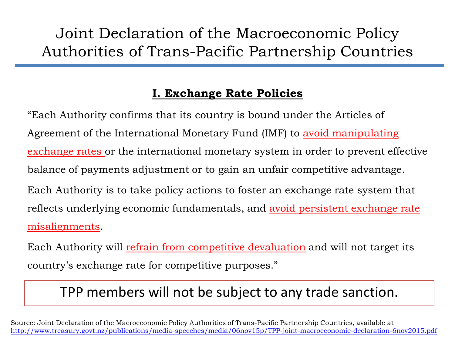## Joint Declaration of the Macroeconomic Policy Authorities of Trans-Pacific Partnership Countries

### **I. Exchange Rate Policies**

"Each Authority confirms that its country is bound under the Articles of Agreement of the International Monetary Fund (IMF) to avoid manipulating exchange rates or the international monetary system in order to prevent effective balance of payments adjustment or to gain an unfair competitive advantage. Each Authority is to take policy actions to foster an exchange rate system that reflects underlying economic fundamentals, and avoid persistent exchange rate misalignments.

Each Authority will refrain from competitive devaluation and will not target its country's exchange rate for competitive purposes."

## TPP members will not be subject to any trade sanction.

Source: Joint Declaration of the Macroeconomic Policy Authorities of Trans-Pacific Partnership Countries, available at <http://www.treasury.govt.nz/publications/media-speeches/media/06nov15p/TPP-joint-macroeconomic-declaration-6nov2015.pdf>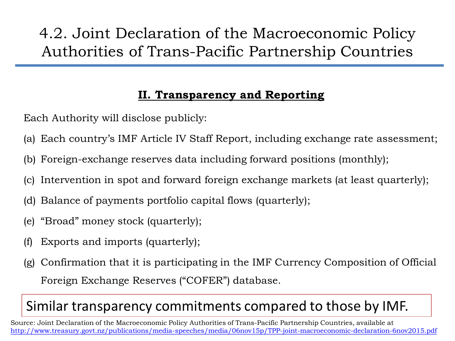## 4.2. Joint Declaration of the Macroeconomic Policy Authorities of Trans-Pacific Partnership Countries

### **II. Transparency and Reporting**

Each Authority will disclose publicly:

- (a) Each country's IMF Article IV Staff Report, including exchange rate assessment;
- (b) Foreign-exchange reserves data including forward positions (monthly);
- (c) Intervention in spot and forward foreign exchange markets (at least quarterly);
- (d) Balance of payments portfolio capital flows (quarterly);
- (e) "Broad" money stock (quarterly);
- (f) Exports and imports (quarterly);
- (g) Confirmation that it is participating in the IMF Currency Composition of Official Foreign Exchange Reserves ("COFER") database.

## Similar transparency commitments compared to those by IMF.

Source: Joint Declaration of the Macroeconomic Policy Authorities of Trans-Pacific Partnership Countries, available at <http://www.treasury.govt.nz/publications/media-speeches/media/06nov15p/TPP-joint-macroeconomic-declaration-6nov2015.pdf>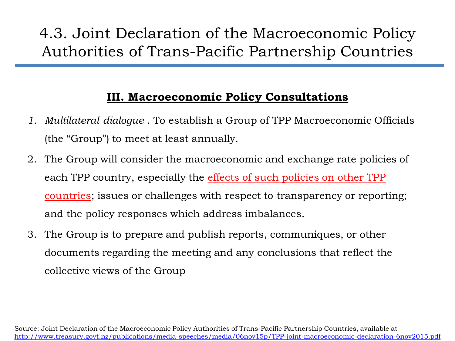## 4.3. Joint Declaration of the Macroeconomic Policy Authorities of Trans-Pacific Partnership Countries

### **III. Macroeconomic Policy Consultations**

- *1. Multilateral dialogue* . To establish a Group of TPP Macroeconomic Officials (the "Group") to meet at least annually.
- 2. The Group will consider the macroeconomic and exchange rate policies of each TPP country, especially the effects of such policies on other TPP countries; issues or challenges with respect to transparency or reporting; and the policy responses which address imbalances.
- 3. The Group is to prepare and publish reports, communiques, or other documents regarding the meeting and any conclusions that reflect the collective views of the Group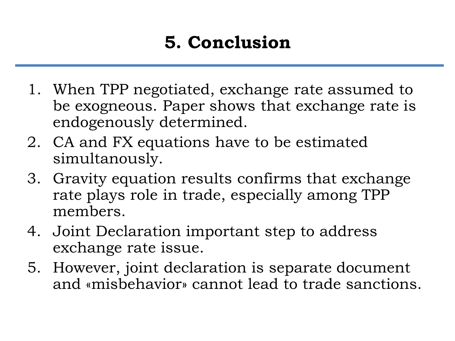## **5. Conclusion**

- 1. When TPP negotiated, exchange rate assumed to be exogneous. Paper shows that exchange rate is endogenously determined.
- 2. CA and FX equations have to be estimated simultanously.
- 3. Gravity equation results confirms that exchange rate plays role in trade, especially among TPP members.
- 4. Joint Declaration important step to address exchange rate issue.
- 5. However, joint declaration is separate document and «misbehavior» cannot lead to trade sanctions.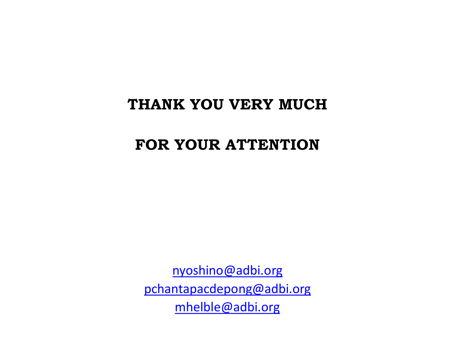## **THANK YOU VERY MUCH**

## **FOR YOUR ATTENTION**

[nyoshino@adbi.org](mailto:nyoshino@adbi.org) [pchantapacdepong@adbi.org](mailto:Pchantapacdepong@adbi.org) [mhelble@adbi.org](mailto:mhelble@adbi.org)